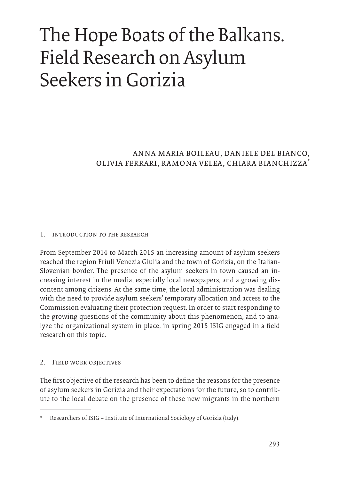# The Hope Boats of the Balkans. Field Research on Asylum Seekers in Gorizia

anna maria boileau, daniele del bianco, olivia ferrari, ramona velea, chiara bianchizza\*

#### 1. introduction to the research

From September 2014 to March 2015 an increasing amount of asylum seekers reached the region Friuli Venezia Giulia and the town of Gorizia, on the Italian-Slovenian border. The presence of the asylum seekers in town caused an increasing interest in the media, especially local newspapers, and a growing discontent among citizens. At the same time, the local administration was dealing with the need to provide asylum seekers' temporary allocation and access to the Commission evaluating their protection request. In order to start responding to the growing questions of the community about this phenomenon, and to analyze the organizational system in place, in spring 2015 ISIG engaged in a field research on this topic.

### 2. Field work objectives

The first objective of the research has been to define the reasons for the presence of asylum seekers in Gorizia and their expectations for the future, so to contribute to the local debate on the presence of these new migrants in the northern

Researchers of ISIG – Institute of International Sociology of Gorizia (Italy).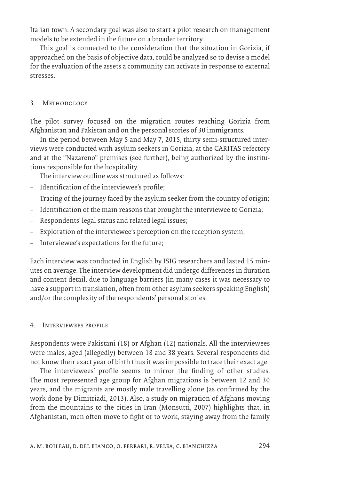Italian town. A secondary goal was also to start a pilot research on management models to be extended in the future on a broader territory.

This goal is connected to the consideration that the situation in Gorizia, if approached on the basis of objective data, could be analyzed so to devise a model for the evaluation of the assets a community can activate in response to external stresses.

#### 3. Methodology

The pilot survey focused on the migration routes reaching Gorizia from Afghanistan and Pakistan and on the personal stories of 30 immigrants.

In the period between May 5 and May 7, 2015, thirty semi-structured interviews were conducted with asylum seekers in Gorizia, at the CARITAS refectory and at the "Nazareno" premises (see further), being authorized by the institutions responsible for the hospitality.

The interview outline was structured as follows:

- Identification of the interviewee's profile;
- Tracing of the journey faced by the asylum seeker from the country of origin;
- Identification of the main reasons that brought the interviewee to Gorizia;
- Respondents' legal status and related legal issues;
- Exploration of the interviewee's perception on the reception system;
- Interviewee's expectations for the future;

Each interview was conducted in English by ISIG researchers and lasted 15 minutes on average. The interview development did undergo differences in duration and content detail, due to language barriers (in many cases it was necessary to have a support in translation, often from other asylum seekers speaking English) and/or the complexity of the respondents' personal stories.

### 4. Interviewees profile

Respondents were Pakistani (18) or Afghan (12) nationals. All the interviewees were males, aged (allegedly) between 18 and 38 years. Several respondents did not know their exact year of birth thus it was impossible to trace their exact age.

The interviewees' profile seems to mirror the finding of other studies. The most represented age group for Afghan migrations is between 12 and 30 years, and the migrants are mostly male travelling alone (as confirmed by the work done by Dimitriadi, 2013). Also, a study on migration of Afghans moving from the mountains to the cities in Iran (Monsutti, 2007) highlights that, in Afghanistan, men often move to fight or to work, staying away from the family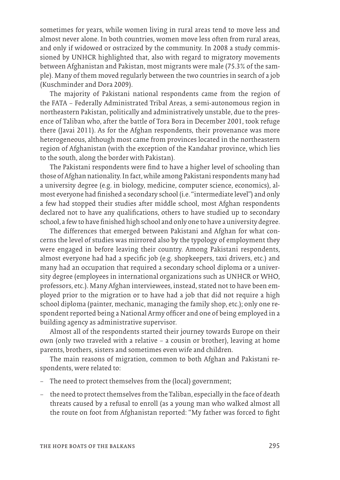sometimes for years, while women living in rural areas tend to move less and almost never alone. In both countries, women move less often from rural areas, and only if widowed or ostracized by the community. In 2008 a study commissioned by UNHCR highlighted that, also with regard to migratory movements between Afghanistan and Pakistan, most migrants were male (75.3% of the sample). Many of them moved regularly between the two countries in search of a job (Kuschminder and Dora 2009).

The majority of Pakistani national respondents came from the region of the FATA – Federally Administrated Tribal Areas, a semi-autonomous region in northeastern Pakistan, politically and administratively unstable, due to the presence of Taliban who, after the battle of Tora Bora in December 2001, took refuge there (Javai 2011). As for the Afghan respondents, their provenance was more heterogeneous, although most came from provinces located in the northeastern region of Afghanistan (with the exception of the Kandahar province, which lies to the south, along the border with Pakistan).

The Pakistani respondents were find to have a higher level of schooling than those of Afghan nationality. In fact, while among Pakistani respondents many had a university degree (e.g. in biology, medicine, computer science, economics), almost everyone had finished a secondary school (i.e. "intermediate level") and only a few had stopped their studies after middle school, most Afghan respondents declared not to have any qualifications, others to have studied up to secondary school, a few to have finished high school and only one to have a university degree.

The differences that emerged between Pakistani and Afghan for what concerns the level of studies was mirrored also by the typology of employment they were engaged in before leaving their country. Among Pakistani respondents, almost everyone had had a specific job (e.g. shopkeepers, taxi drivers, etc.) and many had an occupation that required a secondary school diploma or a university degree (employees in international organizations such as UNHCR or WHO, professors, etc.). Many Afghan interviewees, instead, stated not to have been employed prior to the migration or to have had a job that did not require a high school diploma (painter, mechanic, managing the family shop, etc.); only one respondent reported being a National Army officer and one of being employed in a building agency as administrative supervisor.

Almost all of the respondents started their journey towards Europe on their own (only two traveled with a relative – a cousin or brother), leaving at home parents, brothers, sisters and sometimes even wife and children.

The main reasons of migration, common to both Afghan and Pakistani respondents, were related to:

- The need to protect themselves from the (local) government;
- the need to protect themselves from the Taliban, especially in the face of death threats caused by a refusal to enroll (as a young man who walked almost all the route on foot from Afghanistan reported: "My father was forced to fight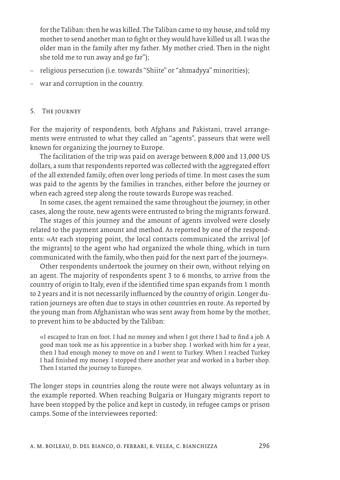for the Taliban: then he was killed. The Taliban came to my house, and told my mother to send another man to fight or they would have killed us all. I was the older man in the family after my father. My mother cried. Then in the night she told me to run away and go far");

- religious persecution (i.e. towards "Shiite" or "ahmadyya" minorities);
- war and corruption in the country.

#### 5. The journey

For the majority of respondents, both Afghans and Pakistani, travel arrangements were entrusted to what they called an "agents", passeurs that were well known for organizing the journey to Europe.

The facilitation of the trip was paid on average between 8,000 and 13,000 US dollars, a sum that respondents reported was collected with the aggregated effort of the all extended family, often over long periods of time. In most cases the sum was paid to the agents by the families in tranches, either before the journey or when each agreed step along the route towards Europe was reached.

In some cases, the agent remained the same throughout the journey; in other cases, along the route, new agents were entrusted to bring the migrants forward.

The stages of this journey and the amount of agents involved were closely related to the payment amount and method. As reported by one of the respondents: «At each stopping point, the local contacts communicated the arrival [of the migrants] to the agent who had organized the whole thing, which in turn communicated with the family, who then paid for the next part of the journey».

Other respondents undertook the journey on their own, without relying on an agent. The majority of respondents spent 3 to 6 months, to arrive from the country of origin to Italy, even if the identified time span expands from 1 month to 2 years and it is not necessarily influenced by the country of origin. Longer duration journeys are often due to stays in other countries en route. As reported by the young man from Afghanistan who was sent away from home by the mother, to prevent him to be abducted by the Taliban:

«I escaped to Iran on foot. I had no money and when I got there I had to find a job. A good man took me as his apprentice in a barber shop. I worked with him for a year, then I had enough money to move on and I went to Turkey. When I reached Turkey I had finished my money. I stopped there another year and worked in a barber shop. Then I started the journey to Europe».

The longer stops in countries along the route were not always voluntary as in the example reported. When reaching Bulgaria or Hungary migrants report to have been stopped by the police and kept in custody, in refugee camps or prison camps. Some of the interviewees reported: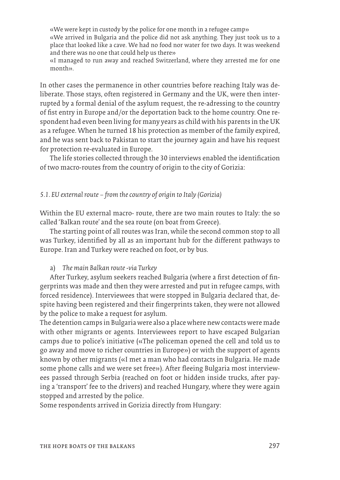«We were kept in custody by the police for one month in a refugee camp» «We arrived in Bulgaria and the police did not ask anything. They just took us to a place that looked like a cave. We had no food nor water for two days. It was weekend and there was no one that could help us there»

«I managed to run away and reached Switzerland, where they arrested me for one month».

In other cases the permanence in other countries before reaching Italy was deliberate. Those stays, often registered in Germany and the UK, were then interrupted by a formal denial of the asylum request, the re-adressing to the country of fist entry in Europe and/or the deportation back to the home country. One respondent had even been living for many years as child with his parents in the UK as a refugee. When he turned 18 his protection as member of the family expired, and he was sent back to Pakistan to start the journey again and have his request for protection re-evaluated in Europe.

The life stories collected through the 30 interviews enabled the identification of two macro-routes from the country of origin to the city of Gorizia:

#### *5.1. EU external route – from the country of origin to Italy (Gorizia)*

Within the EU external macro- route, there are two main routes to Italy: the so called 'Balkan route' and the sea route (on boat from Greece).

The starting point of all routes was Iran, while the second common stop to all was Turkey, identified by all as an important hub for the different pathways to Europe. Iran and Turkey were reached on foot, or by bus.

#### a) *The main Balkan route -via Turkey*

After Turkey, asylum seekers reached Bulgaria (where a first detection of fingerprints was made and then they were arrested and put in refugee camps, with forced residence). Interviewees that were stopped in Bulgaria declared that, despite having been registered and their fingerprints taken, they were not allowed by the police to make a request for asylum.

The detention camps in Bulgaria were also a place where new contacts were made with other migrants or agents. Interviewees report to have escaped Bulgarian camps due to police's initiative («The policeman opened the cell and told us to go away and move to richer countries in Europe») or with the support of agents known by other migrants («I met a man who had contacts in Bulgaria. He made some phone calls and we were set free»). After fleeing Bulgaria most interviewees passed through Serbia (reached on foot or hidden inside trucks, after paying a 'transport' fee to the drivers) and reached Hungary, where they were again stopped and arrested by the police.

Some respondents arrived in Gorizia directly from Hungary: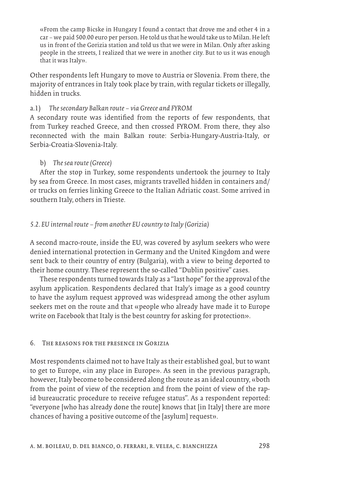«From the camp Bicske in Hungary I found a contact that drove me and other 4 in a car – we paid 500.00 euro per person. He told us that he would take us to Milan. He left us in front of the Gorizia station and told us that we were in Milan. Only after asking people in the streets, I realized that we were in another city. But to us it was enough that it was Italy».

Other respondents left Hungary to move to Austria or Slovenia. From there, the majority of entrances in Italy took place by train, with regular tickets or illegally, hidden in trucks.

### a.1) *The secondary Balkan route – via Greece and FYROM*

A secondary route was identified from the reports of few respondents, that from Turkey reached Greece, and then crossed FYROM. From there, they also reconnected with the main Balkan route: Serbia-Hungary-Austria-Italy, or Serbia-Croatia-Slovenia-Italy.

## b) *The sea route (Greece)*

After the stop in Turkey, some respondents undertook the journey to Italy by sea from Greece. In most cases, migrants travelled hidden in containers and/ or trucks on ferries linking Greece to the Italian Adriatic coast. Some arrived in southern Italy, others in Trieste.

## *5.2. EU internal route – from another EU country to Italy (Gorizia)*

A second macro-route, inside the EU, was covered by asylum seekers who were denied international protection in Germany and the United Kingdom and were sent back to their country of entry (Bulgaria), with a view to being deported to their home country. These represent the so-called "Dublin positive" cases.

These respondents turned towards Italy as a "last hope" for the approval of the asylum application. Respondents declared that Italy's image as a good country to have the asylum request approved was widespread among the other asylum seekers met on the route and that «people who already have made it to Europe write on Facebook that Italy is the best country for asking for protection».

## 6. The reasons for the presence in Gorizia

Most respondents claimed not to have Italy as their established goal, but to want to get to Europe, «in any place in Europe». As seen in the previous paragraph, however, Italy become to be considered along the route as an ideal country, «both from the point of view of the reception and from the point of view of the rapid bureaucratic procedure to receive refugee status". As a respondent reported: "everyone [who has already done the route] knows that [in Italy] there are more chances of having a positive outcome of the [asylum] request».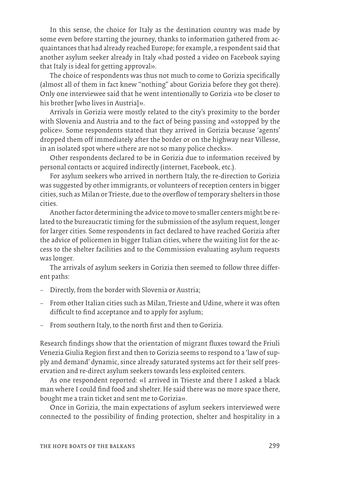In this sense, the choice for Italy as the destination country was made by some even before starting the journey, thanks to information gathered from acquaintances that had already reached Europe; for example, a respondent said that another asylum seeker already in Italy «had posted a video on Facebook saying that Italy is ideal for getting approval».

The choice of respondents was thus not much to come to Gorizia specifically (almost all of them in fact knew "nothing" about Gorizia before they got there). Only one interviewee said that he went intentionally to Gorizia «to be closer to his brother [who lives in Austria]».

Arrivals in Gorizia were mostly related to the city's proximity to the border with Slovenia and Austria and to the fact of being passing and «stopped by the police». Some respondents stated that they arrived in Gorizia because 'agents' dropped them off immediately after the border or on the highway near Villesse, in an isolated spot where «there are not so many police checks».

Other respondents declared to be in Gorizia due to information received by personal contacts or acquired indirectly (internet, Facebook, etc.).

For asylum seekers who arrived in northern Italy, the re-direction to Gorizia was suggested by other immigrants, or volunteers of reception centers in bigger cities, such as Milan or Trieste, due to the overflow of temporary shelters in those cities.

Another factor determining the advice to move to smaller centers might be related to the bureaucratic timing for the submission of the asylum request, longer for larger cities. Some respondents in fact declared to have reached Gorizia after the advice of policemen in bigger Italian cities, where the waiting list for the access to the shelter facilities and to the Commission evaluating asylum requests was longer.

The arrivals of asylum seekers in Gorizia then seemed to follow three different paths:

- Directly, from the border with Slovenia or Austria;
- From other Italian cities such as Milan, Trieste and Udine, where it was often difficult to find acceptance and to apply for asylum;
- From southern Italy, to the north first and then to Gorizia.

Research findings show that the orientation of migrant fluxes toward the Friuli Venezia Giulia Region first and then to Gorizia seems to respond to a 'law of supply and demand' dynamic, since already saturated systems act for their self preservation and re-direct asylum seekers towards less exploited centers.

As one respondent reported: «I arrived in Trieste and there I asked a black man where I could find food and shelter. He said there was no more space there, bought me a train ticket and sent me to Gorizia».

Once in Gorizia, the main expectations of asylum seekers interviewed were connected to the possibility of finding protection, shelter and hospitality in a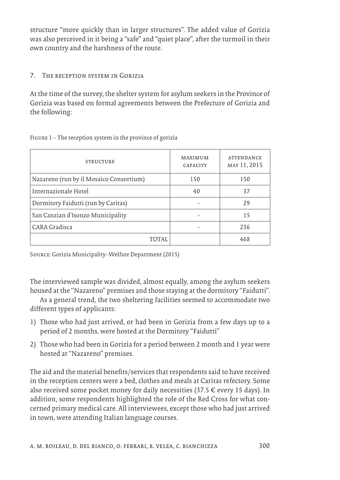structure "more quickly than in larger structures". The added value of Gorizia was also perceived in it being a "safe" and "quiet place", after the turmoil in their own country and the harshness of the route.

#### 7. The reception system in Gorizia

At the time of the survey, the shelter system for asylum seekers in the Province of Gorizia was based on formal agreements between the Prefecture of Gorizia and the following:

| <b>STRUCTURE</b>                        | <b>MAXIMUM</b><br><b>CAPACITY</b> | <b>ATTENDANCE</b><br>MAY 11, 2015 |
|-----------------------------------------|-----------------------------------|-----------------------------------|
| Nazareno (run by il Mosaico Consortium) | 150                               | 150                               |
| Internazionale Hotel                    | 40                                | 37                                |
| Dormitory Faidutti (run by Caritas)     |                                   | 29                                |
| San Canzian d'Isonzo Municipality       |                                   | 15                                |
| CARA Gradisca                           |                                   | 236                               |
| TOTAI                                   |                                   | 468                               |

Figure 1 – The reception system in the province of gorizia

Source: Gorizia Municipality–Welfare Department (2015)

The interviewed sample was divided, almost equally, among the asylum seekers housed at the "Nazareno" premises and those staying at the dormitory "Faidutti".

As a general trend, the two sheltering facilities seemed to accommodate two different types of applicants:

- 1) Those who had just arrived, or had been in Gorizia from a few days up to a period of 2 months, were hosted at the Dormitory "Faidutti"
- 2) Those who had been in Gorizia for a period between 2 month and 1 year were hosted at "Nazareno" premises.

The aid and the material benefits/services that respondents said to have received in the reception centers were a bed, clothes and meals at Caritas refectory. Some also received some pocket money for daily necessities (37.5 € every 15 days). In addition, some respondents highlighted the role of the Red Cross for what concerned primary medical care. All interviewees, except those who had just arrived in town, were attending Italian language courses.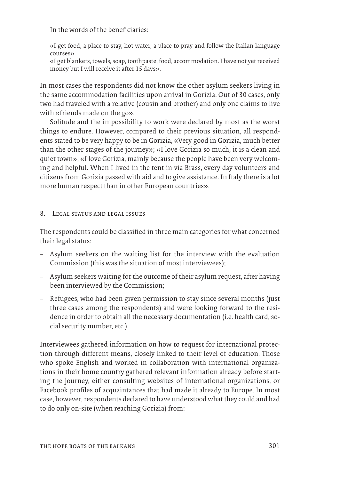In the words of the beneficiaries:

«I get food, a place to stay, hot water, a place to pray and follow the Italian language courses».

«I get blankets, towels, soap, toothpaste, food, accommodation. I have not yet received money but I will receive it after 15 days».

In most cases the respondents did not know the other asylum seekers living in the same accommodation facilities upon arrival in Gorizia. Out of 30 cases, only two had traveled with a relative (cousin and brother) and only one claims to live with «friends made on the go».

Solitude and the impossibility to work were declared by most as the worst things to endure. However, compared to their previous situation, all respondents stated to be very happy to be in Gorizia, «Very good in Gorizia, much better than the other stages of the journey»; «I love Gorizia so much, it is a clean and quiet town»; «I love Gorizia, mainly because the people have been very welcoming and helpful. When I lived in the tent in via Brass, every day volunteers and citizens from Gorizia passed with aid and to give assistance. In Italy there is a lot more human respect than in other European countries».

#### 8. LEGAL STATUS AND LEGAL ISSUES

The respondents could be classified in three main categories for what concerned their legal status:

- Asylum seekers on the waiting list for the interview with the evaluation Commission (this was the situation of most interviewees);
- Asylum seekers waiting for the outcome of their asylum request, after having been interviewed by the Commission;
- Refugees, who had been given permission to stay since several months (just three cases among the respondents) and were looking forward to the residence in order to obtain all the necessary documentation (i.e. health card, social security number, etc.).

Interviewees gathered information on how to request for international protection through different means, closely linked to their level of education. Those who spoke English and worked in collaboration with international organizations in their home country gathered relevant information already before starting the journey, either consulting websites of international organizations, or Facebook profiles of acquaintances that had made it already to Europe. In most case, however, respondents declared to have understood what they could and had to do only on-site (when reaching Gorizia) from: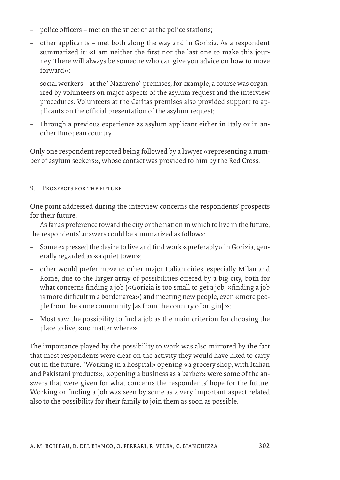- police officers met on the street or at the police stations;
- other applicants met both along the way and in Gorizia. As a respondent summarized it: «I am neither the first nor the last one to make this journey. There will always be someone who can give you advice on how to move forward»;
- social workers at the "Nazareno" premises, for example, a course was organized by volunteers on major aspects of the asylum request and the interview procedures. Volunteers at the Caritas premises also provided support to applicants on the official presentation of the asylum request;
- Through a previous experience as asylum applicant either in Italy or in another European country.

Only one respondent reported being followed by a lawyer «representing a number of asylum seekers», whose contact was provided to him by the Red Cross.

## 9. Prospects for the future

One point addressed during the interview concerns the respondents' prospects for their future.

As far as preference toward the city or the nation in which to live in the future, the respondents' answers could be summarized as follows:

- Some expressed the desire to live and find work «preferably» in Gorizia, generally regarded as «a quiet town»;
- other would prefer move to other major Italian cities, especially Milan and Rome, due to the larger array of possibilities offered by a big city, both for what concerns finding a job («Gorizia is too small to get a job, «finding a job is more difficult in a border area») and meeting new people, even «more people from the same community [as from the country of origin] »;
- Most saw the possibility to find a job as the main criterion for choosing the place to live, «no matter where».

The importance played by the possibility to work was also mirrored by the fact that most respondents were clear on the activity they would have liked to carry out in the future. "Working in a hospital» opening «a grocery shop, with Italian and Pakistani products», «opening a business as a barber» were some of the answers that were given for what concerns the respondents' hope for the future. Working or finding a job was seen by some as a very important aspect related also to the possibility for their family to join them as soon as possible.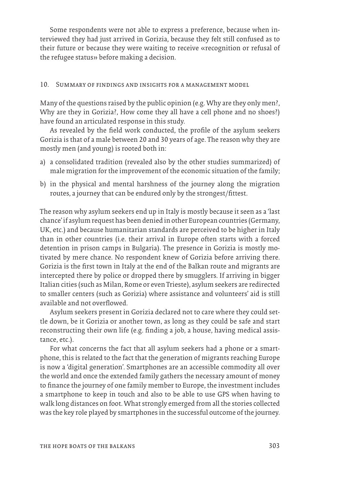Some respondents were not able to express a preference, because when interviewed they had just arrived in Gorizia, because they felt still confused as to their future or because they were waiting to receive «recognition or refusal of the refugee status» before making a decision.

#### 10. Summary of findings and insights for a management model

Many of the questions raised by the public opinion (e.g. Why are they only men?, Why are they in Gorizia?, How come they all have a cell phone and no shoes?) have found an articulated response in this study.

As revealed by the field work conducted, the profile of the asylum seekers Gorizia is that of a male between 20 and 30 years of age. The reason why they are mostly men (and young) is rooted both in:

- a) a consolidated tradition (revealed also by the other studies summarized) of male migration for the improvement of the economic situation of the family;
- b) in the physical and mental harshness of the journey along the migration routes, a journey that can be endured only by the strongest/fittest.

The reason why asylum seekers end up in Italy is mostly because it seen as a 'last chance' if asylum request has been denied in other European countries (Germany, UK, etc.) and because humanitarian standards are perceived to be higher in Italy than in other countries (i.e. their arrival in Europe often starts with a forced detention in prison camps in Bulgaria). The presence in Gorizia is mostly motivated by mere chance. No respondent knew of Gorizia before arriving there. Gorizia is the first town in Italy at the end of the Balkan route and migrants are intercepted there by police or dropped there by smugglers. If arriving in bigger Italian cities (such as Milan, Rome or even Trieste), asylum seekers are redirected to smaller centers (such as Gorizia) where assistance and volunteers' aid is still available and not overflowed.

Asylum seekers present in Gorizia declared not to care where they could settle down, be it Gorizia or another town, as long as they could be safe and start reconstructing their own life (e.g. finding a job, a house, having medical assistance, etc.).

For what concerns the fact that all asylum seekers had a phone or a smartphone, this is related to the fact that the generation of migrants reaching Europe is now a 'digital generation'. Smartphones are an accessible commodity all over the world and once the extended family gathers the necessary amount of money to finance the journey of one family member to Europe, the investment includes a smartphone to keep in touch and also to be able to use GPS when having to walk long distances on foot. What strongly emerged from all the stories collected was the key role played by smartphones in the successful outcome of the journey.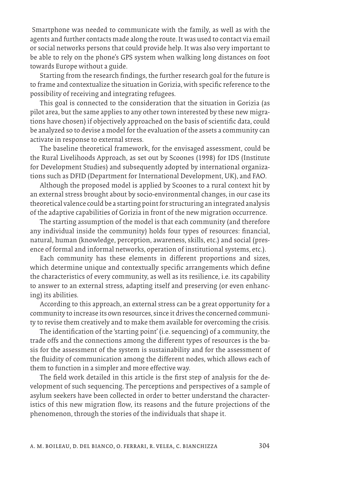Smartphone was needed to communicate with the family, as well as with the agents and further contacts made along the route. It was used to contact via email or social networks persons that could provide help. It was also very important to be able to rely on the phone's GPS system when walking long distances on foot towards Europe without a guide.

Starting from the research findings, the further research goal for the future is to frame and contextualize the situation in Gorizia, with specific reference to the possibility of receiving and integrating refugees.

This goal is connected to the consideration that the situation in Gorizia (as pilot area, but the same applies to any other town interested by these new migrations have chosen) if objectively approached on the basis of scientific data, could be analyzed so to devise a model for the evaluation of the assets a community can activate in response to external stress.

The baseline theoretical framework, for the envisaged assessment, could be the Rural Livelihoods Approach, as set out by Scoones (1998) for IDS (Institute for Development Studies) and subsequently adopted by international organizations such as DFID (Department for International Development, UK), and FAO.

Although the proposed model is applied by Scoones to a rural context hit by an external stress brought about by socio-environmental changes, in our case its theoretical valence could be a starting point for structuring an integrated analysis of the adaptive capabilities of Gorizia in front of the new migration occurrence.

The starting assumption of the model is that each community (and therefore any individual inside the community) holds four types of resources: financial, natural, human (knowledge, perception, awareness, skills, etc.) and social (presence of formal and informal networks, operation of institutional systems, etc.).

Each community has these elements in different proportions and sizes, which determine unique and contextually specific arrangements which define the characteristics of every community, as well as its resilience, i.e. its capability to answer to an external stress, adapting itself and preserving (or even enhancing) its abilities.

According to this approach, an external stress can be a great opportunity for a community to increase its own resources, since it drives the concerned community to revise them creatively and to make them available for overcoming the crisis.

The identification of the 'starting point' (i.e. sequencing) of a community, the trade offs and the connections among the different types of resources is the basis for the assessment of the system is sustainability and for the assessment of the fluidity of communication among the different nodes, which allows each of them to function in a simpler and more effective way.

The field work detailed in this article is the first step of analysis for the development of such sequencing. The perceptions and perspectives of a sample of asylum seekers have been collected in order to better understand the characteristics of this new migration flow, its reasons and the future projections of the phenomenon, through the stories of the individuals that shape it.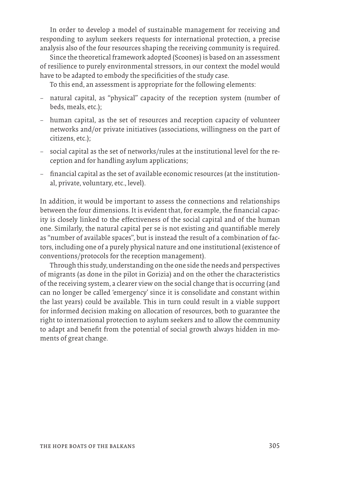In order to develop a model of sustainable management for receiving and responding to asylum seekers requests for international protection, a precise analysis also of the four resources shaping the receiving community is required.

Since the theoretical framework adopted (Scoones) is based on an assessment of resilience to purely environmental stressors, in our context the model would have to be adapted to embody the specificities of the study case.

To this end, an assessment is appropriate for the following elements:

- natural capital, as "physical" capacity of the reception system (number of beds, meals, etc.);
- human capital, as the set of resources and reception capacity of volunteer networks and/or private initiatives (associations, willingness on the part of citizens, etc.);
- social capital as the set of networks/rules at the institutional level for the reception and for handling asylum applications;
- financial capital as the set of available economic resources (at the institutional, private, voluntary, etc., level).

In addition, it would be important to assess the connections and relationships between the four dimensions. It is evident that, for example, the financial capacity is closely linked to the effectiveness of the social capital and of the human one. Similarly, the natural capital per se is not existing and quantifiable merely as "number of available spaces", but is instead the result of a combination of factors, including one of a purely physical nature and one institutional (existence of conventions/protocols for the reception management).

Through this study, understanding on the one side the needs and perspectives of migrants (as done in the pilot in Gorizia) and on the other the characteristics of the receiving system, a clearer view on the social change that is occurring (and can no longer be called 'emergency' since it is consolidate and constant within the last years) could be available. This in turn could result in a viable support for informed decision making on allocation of resources, both to guarantee the right to international protection to asylum seekers and to allow the community to adapt and benefit from the potential of social growth always hidden in moments of great change.